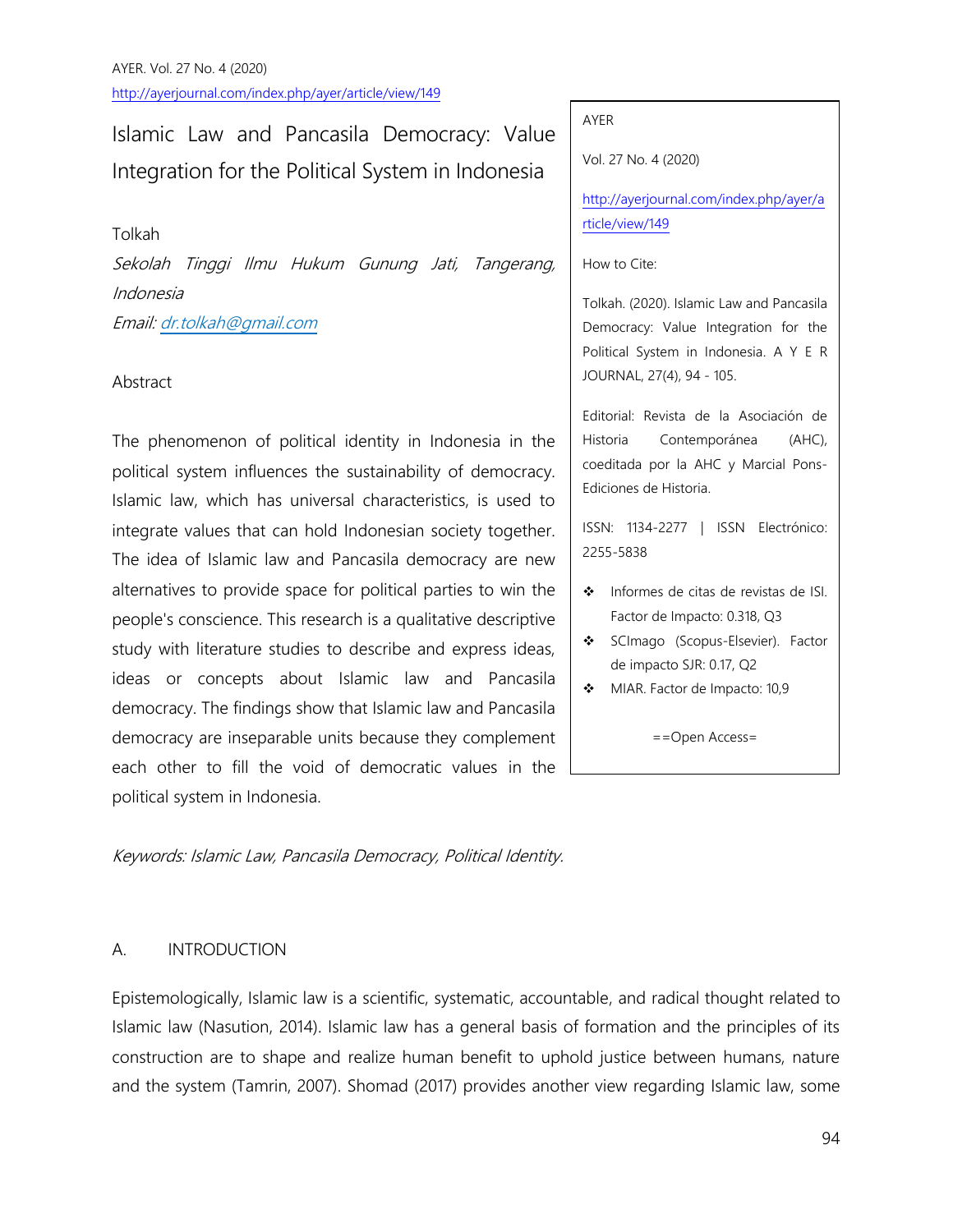# Islamic Law and Pancasila Democracy: Value Integration for the Political System in Indonesia

## Tolkah

Sekolah Tinggi Ilmu Hukum Gunung Jati, Tangerang, Indonesia Email[: dr.tolkah@gmail.com](mailto:dr.tolkah@gmail.com)

# Abstract

The phenomenon of political identity in Indonesia in the political system influences the sustainability of democracy. Islamic law, which has universal characteristics, is used to integrate values that can hold Indonesian society together. The idea of Islamic law and Pancasila democracy are new alternatives to provide space for political parties to win the people's conscience. This research is a qualitative descriptive study with literature studies to describe and express ideas, ideas or concepts about Islamic law and Pancasila democracy. The findings show that Islamic law and Pancasila democracy are inseparable units because they complement each other to fill the void of democratic values in the political system in Indonesia.

Keywords: Islamic Law, Pancasila Democracy, Political Identity.

# A. INTRODUCTION

Epistemologically, Islamic law is a scientific, systematic, accountable, and radical thought related to Islamic law (Nasution, 2014). Islamic law has a general basis of formation and the principles of its construction are to shape and realize human benefit to uphold justice between humans, nature and the system (Tamrin, 2007). Shomad (2017) provides another view regarding Islamic law, some

#### AYER

Vol. 27 No. 4 (2020)

[http://ayerjournal.com/index.php/ayer/a](http://ayerjournal.com/index.php/ayer/article/view/14) [rticle/view/149](http://ayerjournal.com/index.php/ayer/article/view/14)

How to Cite:

Tolkah. (2020). Islamic Law and Pancasila Democracy: Value Integration for the Political System in Indonesia. A Y E R JOURNAL, 27(4), 94 - 105.

Editorial: Revista de la Asociación de Historia Contemporánea (AHC), coeditada por la AHC y Marcial Pons-Ediciones de Historia.

ISSN: 1134-2277 | ISSN Electrónico: 2255-5838

- ❖ Informes de citas de revistas de ISI. Factor de Impacto: 0.318, Q3
- SCImago (Scopus-Elsevier). Factor de impacto SJR: 0.17, Q2
- MIAR. Factor de Impacto: 10,9

==Open Access=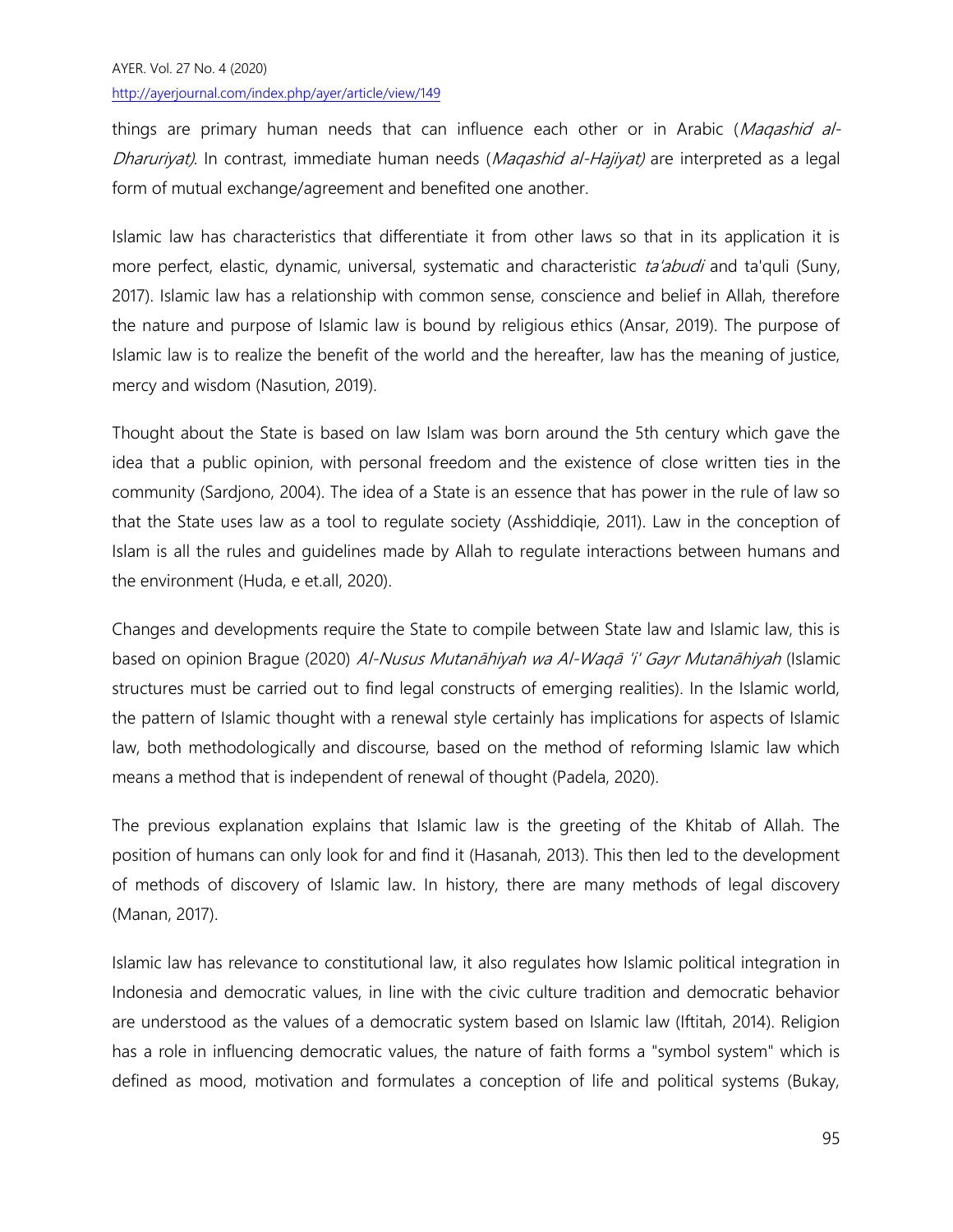things are primary human needs that can influence each other or in Arabic (Magashid al-Dharuriyat). In contrast, immediate human needs (Magashid al-Hajiyat) are interpreted as a legal form of mutual exchange/agreement and benefited one another.

Islamic law has characteristics that differentiate it from other laws so that in its application it is more perfect, elastic, dynamic, universal, systematic and characteristic ta'abudi and ta'quli (Suny, 2017). Islamic law has a relationship with common sense, conscience and belief in Allah, therefore the nature and purpose of Islamic law is bound by religious ethics (Ansar, 2019). The purpose of Islamic law is to realize the benefit of the world and the hereafter, law has the meaning of justice, mercy and wisdom (Nasution, 2019).

Thought about the State is based on law Islam was born around the 5th century which gave the idea that a public opinion, with personal freedom and the existence of close written ties in the community (Sardjono, 2004). The idea of a State is an essence that has power in the rule of law so that the State uses law as a tool to regulate society (Asshiddiqie, 2011). Law in the conception of Islam is all the rules and guidelines made by Allah to regulate interactions between humans and the environment (Huda, e et.all, 2020).

Changes and developments require the State to compile between State law and Islamic law, this is based on opinion Brague (2020) Al-Nusus Mutanāhiyah wa Al-Waqā 'i' Gayr Mutanāhiyah (Islamic structures must be carried out to find legal constructs of emerging realities). In the Islamic world, the pattern of Islamic thought with a renewal style certainly has implications for aspects of Islamic law, both methodologically and discourse, based on the method of reforming Islamic law which means a method that is independent of renewal of thought (Padela, 2020).

The previous explanation explains that Islamic law is the greeting of the Khitab of Allah. The position of humans can only look for and find it (Hasanah, 2013). This then led to the development of methods of discovery of Islamic law. In history, there are many methods of legal discovery (Manan, 2017).

Islamic law has relevance to constitutional law, it also regulates how Islamic political integration in Indonesia and democratic values, in line with the civic culture tradition and democratic behavior are understood as the values of a democratic system based on Islamic law (Iftitah, 2014). Religion has a role in influencing democratic values, the nature of faith forms a "symbol system" which is defined as mood, motivation and formulates a conception of life and political systems (Bukay,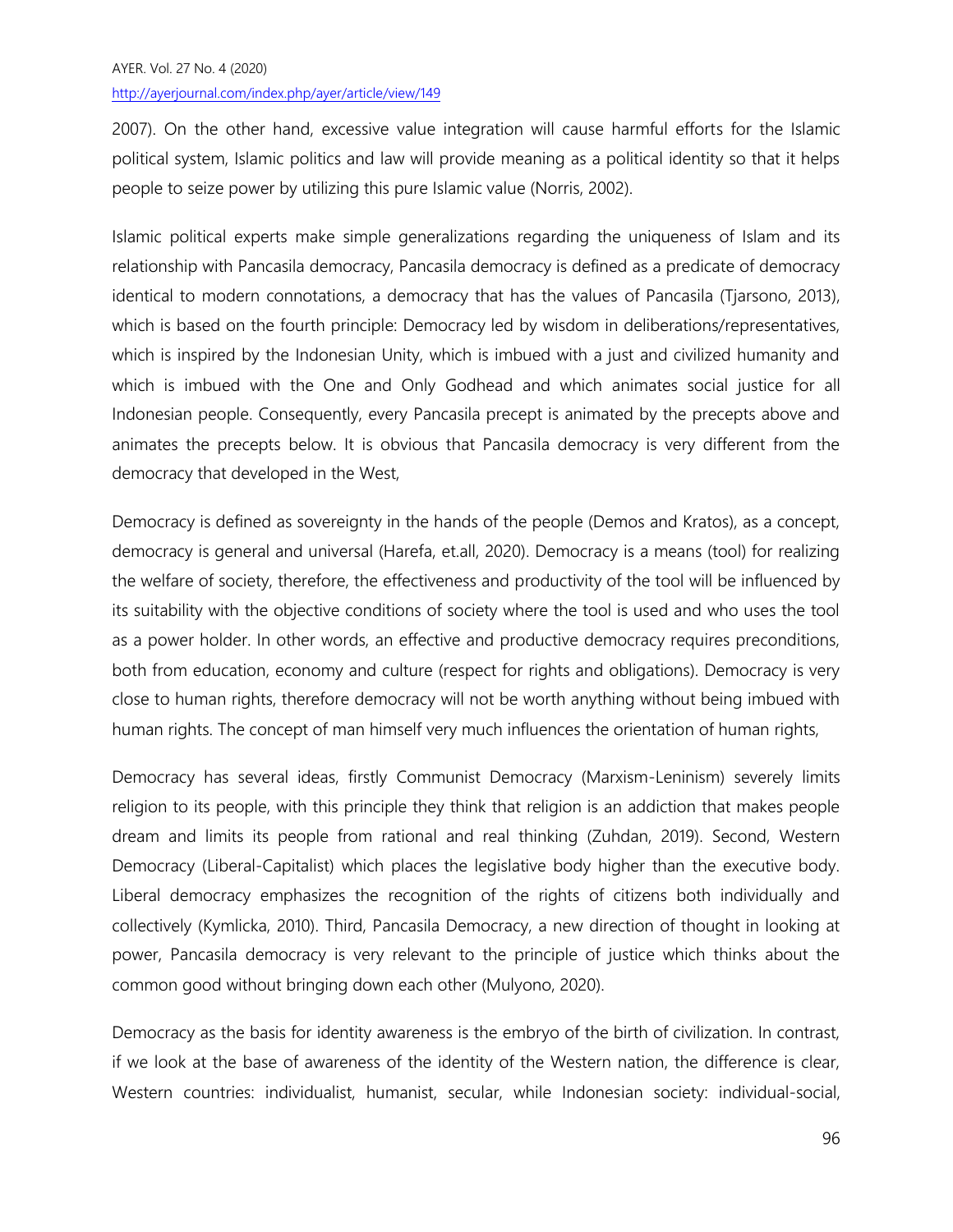2007). On the other hand, excessive value integration will cause harmful efforts for the Islamic political system, Islamic politics and law will provide meaning as a political identity so that it helps people to seize power by utilizing this pure Islamic value (Norris, 2002).

Islamic political experts make simple generalizations regarding the uniqueness of Islam and its relationship with Pancasila democracy, Pancasila democracy is defined as a predicate of democracy identical to modern connotations, a democracy that has the values of Pancasila (Tjarsono, 2013), which is based on the fourth principle: Democracy led by wisdom in deliberations/representatives, which is inspired by the Indonesian Unity, which is imbued with a just and civilized humanity and which is imbued with the One and Only Godhead and which animates social justice for all Indonesian people. Consequently, every Pancasila precept is animated by the precepts above and animates the precepts below. It is obvious that Pancasila democracy is very different from the democracy that developed in the West,

Democracy is defined as sovereignty in the hands of the people (Demos and Kratos), as a concept, democracy is general and universal (Harefa, et.all, 2020). Democracy is a means (tool) for realizing the welfare of society, therefore, the effectiveness and productivity of the tool will be influenced by its suitability with the objective conditions of society where the tool is used and who uses the tool as a power holder. In other words, an effective and productive democracy requires preconditions, both from education, economy and culture (respect for rights and obligations). Democracy is very close to human rights, therefore democracy will not be worth anything without being imbued with human rights. The concept of man himself very much influences the orientation of human rights,

Democracy has several ideas, firstly Communist Democracy (Marxism-Leninism) severely limits religion to its people, with this principle they think that religion is an addiction that makes people dream and limits its people from rational and real thinking (Zuhdan, 2019). Second, Western Democracy (Liberal-Capitalist) which places the legislative body higher than the executive body. Liberal democracy emphasizes the recognition of the rights of citizens both individually and collectively (Kymlicka, 2010). Third, Pancasila Democracy, a new direction of thought in looking at power, Pancasila democracy is very relevant to the principle of justice which thinks about the common good without bringing down each other (Mulyono, 2020).

Democracy as the basis for identity awareness is the embryo of the birth of civilization. In contrast, if we look at the base of awareness of the identity of the Western nation, the difference is clear, Western countries: individualist, humanist, secular, while Indonesian society: individual-social,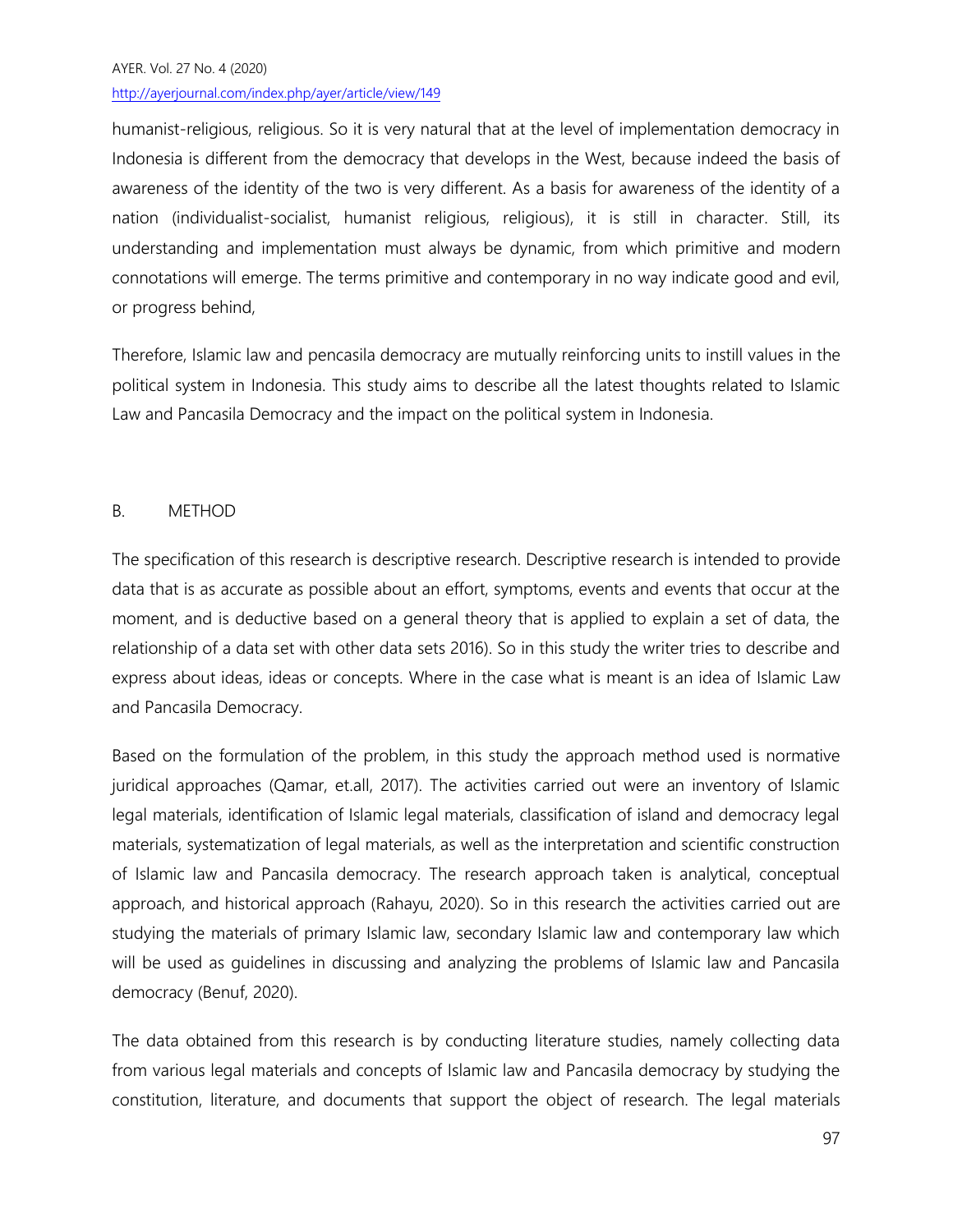# AYER. Vol. 27 No. 4 (2020) http://ayerjournal.com/index.php/ayer/article/view/149

humanist-religious, religious. So it is very natural that at the level of implementation democracy in Indonesia is different from the democracy that develops in the West, because indeed the basis of awareness of the identity of the two is very different. As a basis for awareness of the identity of a nation (individualist-socialist, humanist religious, religious), it is still in character. Still, its understanding and implementation must always be dynamic, from which primitive and modern connotations will emerge. The terms primitive and contemporary in no way indicate good and evil, or progress behind,

Therefore, Islamic law and pencasila democracy are mutually reinforcing units to instill values in the political system in Indonesia. This study aims to describe all the latest thoughts related to Islamic Law and Pancasila Democracy and the impact on the political system in Indonesia.

## B. METHOD

The specification of this research is descriptive research. Descriptive research is intended to provide data that is as accurate as possible about an effort, symptoms, events and events that occur at the moment, and is deductive based on a general theory that is applied to explain a set of data, the relationship of a data set with other data sets 2016). So in this study the writer tries to describe and express about ideas, ideas or concepts. Where in the case what is meant is an idea of Islamic Law and Pancasila Democracy.

Based on the formulation of the problem, in this study the approach method used is normative juridical approaches (Qamar, et.all, 2017). The activities carried out were an inventory of Islamic legal materials, identification of Islamic legal materials, classification of island and democracy legal materials, systematization of legal materials, as well as the interpretation and scientific construction of Islamic law and Pancasila democracy. The research approach taken is analytical, conceptual approach, and historical approach (Rahayu, 2020). So in this research the activities carried out are studying the materials of primary Islamic law, secondary Islamic law and contemporary law which will be used as guidelines in discussing and analyzing the problems of Islamic law and Pancasila democracy (Benuf, 2020).

The data obtained from this research is by conducting literature studies, namely collecting data from various legal materials and concepts of Islamic law and Pancasila democracy by studying the constitution, literature, and documents that support the object of research. The legal materials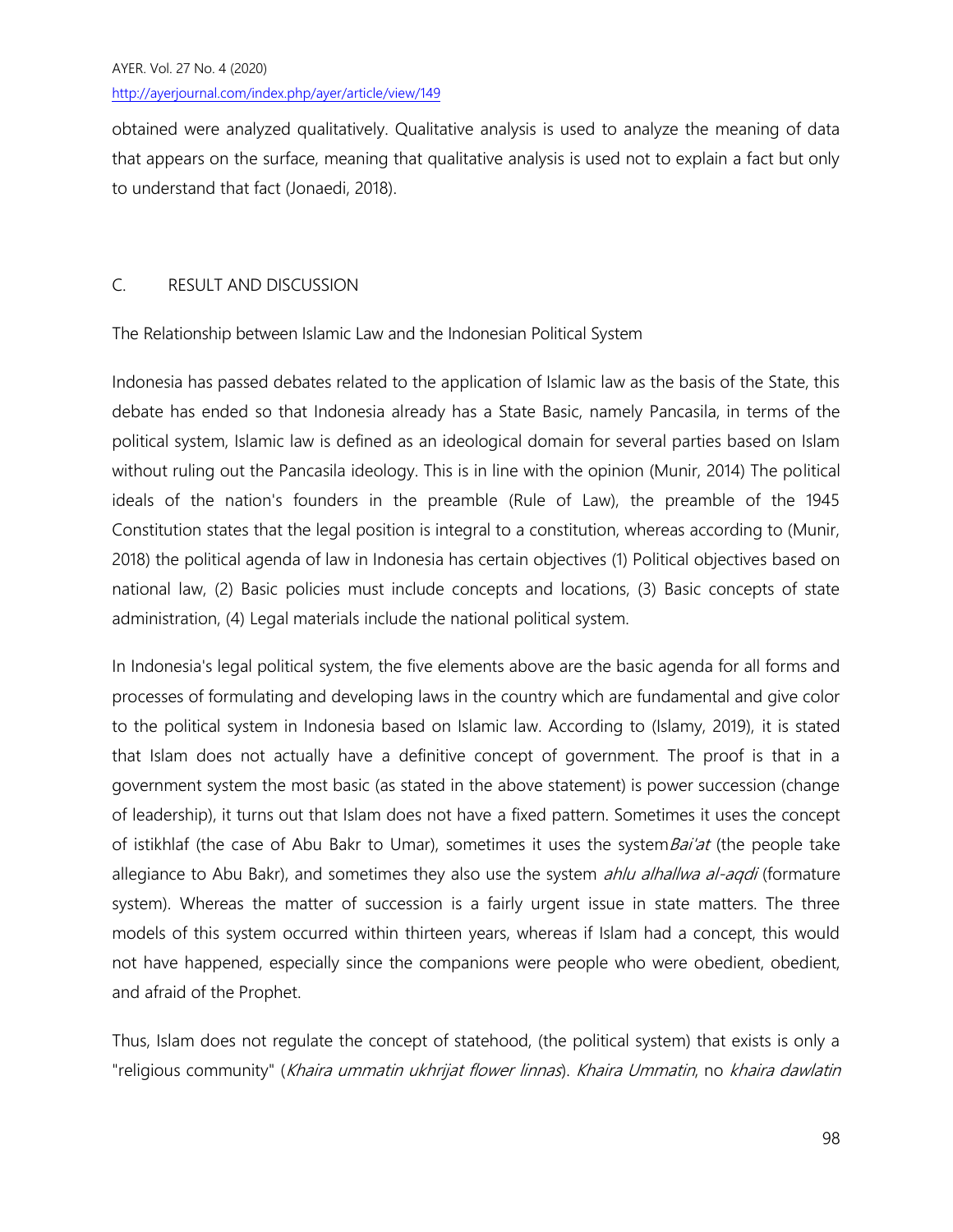obtained were analyzed qualitatively. Qualitative analysis is used to analyze the meaning of data that appears on the surface, meaning that qualitative analysis is used not to explain a fact but only to understand that fact (Jonaedi, 2018).

# C. RESULT AND DISCUSSION

The Relationship between Islamic Law and the Indonesian Political System

Indonesia has passed debates related to the application of Islamic law as the basis of the State, this debate has ended so that Indonesia already has a State Basic, namely Pancasila, in terms of the political system, Islamic law is defined as an ideological domain for several parties based on Islam without ruling out the Pancasila ideology. This is in line with the opinion (Munir, 2014) The political ideals of the nation's founders in the preamble (Rule of Law), the preamble of the 1945 Constitution states that the legal position is integral to a constitution, whereas according to (Munir, 2018) the political agenda of law in Indonesia has certain objectives (1) Political objectives based on national law, (2) Basic policies must include concepts and locations, (3) Basic concepts of state administration, (4) Legal materials include the national political system.

In Indonesia's legal political system, the five elements above are the basic agenda for all forms and processes of formulating and developing laws in the country which are fundamental and give color to the political system in Indonesia based on Islamic law. According to (Islamy, 2019), it is stated that Islam does not actually have a definitive concept of government. The proof is that in a government system the most basic (as stated in the above statement) is power succession (change of leadership), it turns out that Islam does not have a fixed pattern. Sometimes it uses the concept of istikhlaf (the case of Abu Bakr to Umar), sometimes it uses the system Bai'at (the people take allegiance to Abu Bakr), and sometimes they also use the system *ahlu alhallwa al-aqdi* (formature system). Whereas the matter of succession is a fairly urgent issue in state matters. The three models of this system occurred within thirteen years, whereas if Islam had a concept, this would not have happened, especially since the companions were people who were obedient, obedient, and afraid of the Prophet.

Thus, Islam does not regulate the concept of statehood, (the political system) that exists is only a "religious community" (Khaira ummatin ukhrijat flower linnas). Khaira Ummatin, no khaira dawlatin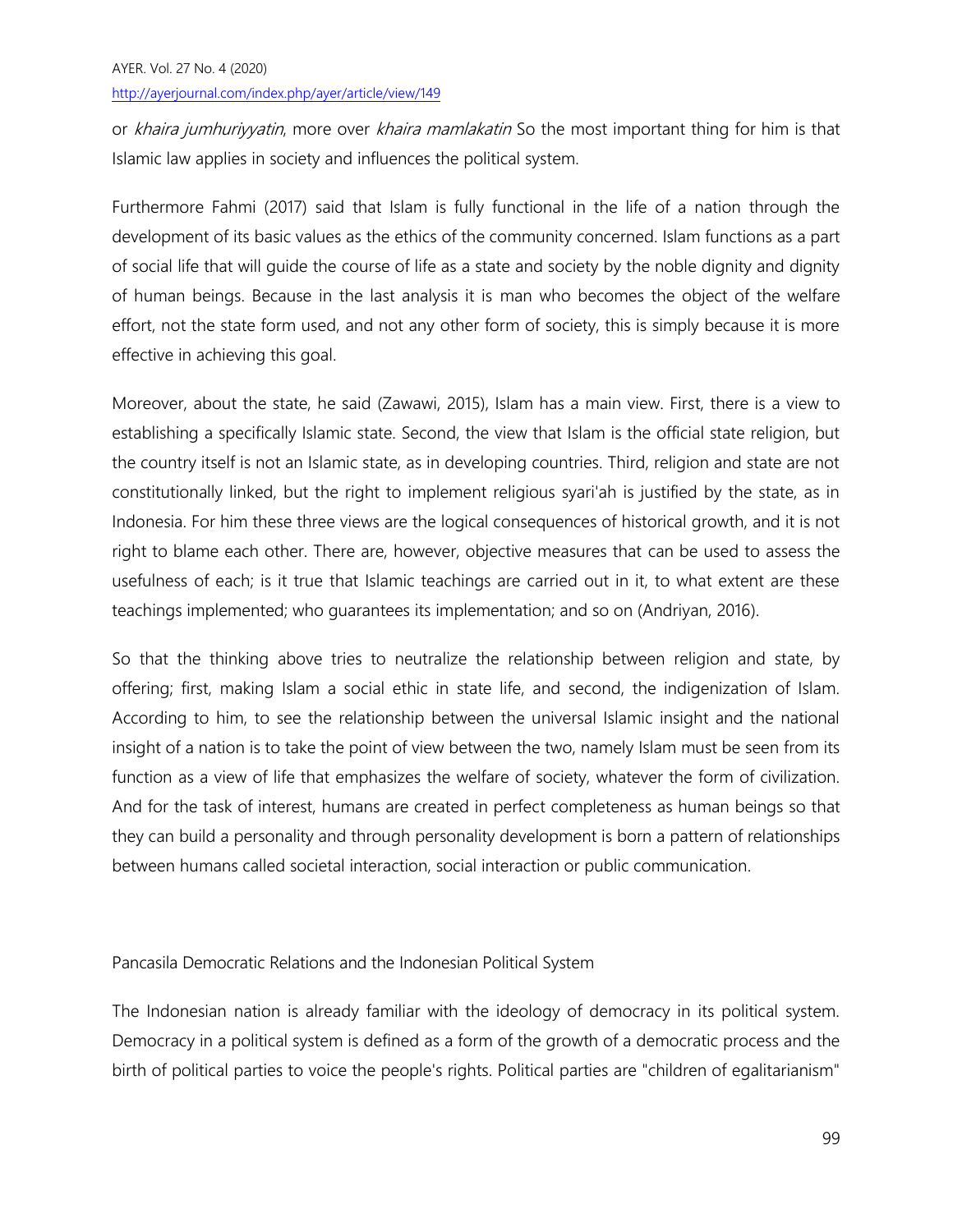or khaira jumhuriyyatin, more over khaira mamlakatin So the most important thing for him is that Islamic law applies in society and influences the political system.

Furthermore Fahmi (2017) said that Islam is fully functional in the life of a nation through the development of its basic values as the ethics of the community concerned. Islam functions as a part of social life that will guide the course of life as a state and society by the noble dignity and dignity of human beings. Because in the last analysis it is man who becomes the object of the welfare effort, not the state form used, and not any other form of society, this is simply because it is more effective in achieving this goal.

Moreover, about the state, he said (Zawawi, 2015), Islam has a main view. First, there is a view to establishing a specifically Islamic state. Second, the view that Islam is the official state religion, but the country itself is not an Islamic state, as in developing countries. Third, religion and state are not constitutionally linked, but the right to implement religious syari'ah is justified by the state, as in Indonesia. For him these three views are the logical consequences of historical growth, and it is not right to blame each other. There are, however, objective measures that can be used to assess the usefulness of each; is it true that Islamic teachings are carried out in it, to what extent are these teachings implemented; who guarantees its implementation; and so on (Andriyan, 2016).

So that the thinking above tries to neutralize the relationship between religion and state, by offering; first, making Islam a social ethic in state life, and second, the indigenization of Islam. According to him, to see the relationship between the universal Islamic insight and the national insight of a nation is to take the point of view between the two, namely Islam must be seen from its function as a view of life that emphasizes the welfare of society, whatever the form of civilization. And for the task of interest, humans are created in perfect completeness as human beings so that they can build a personality and through personality development is born a pattern of relationships between humans called societal interaction, social interaction or public communication.

## Pancasila Democratic Relations and the Indonesian Political System

The Indonesian nation is already familiar with the ideology of democracy in its political system. Democracy in a political system is defined as a form of the growth of a democratic process and the birth of political parties to voice the people's rights. Political parties are "children of egalitarianism"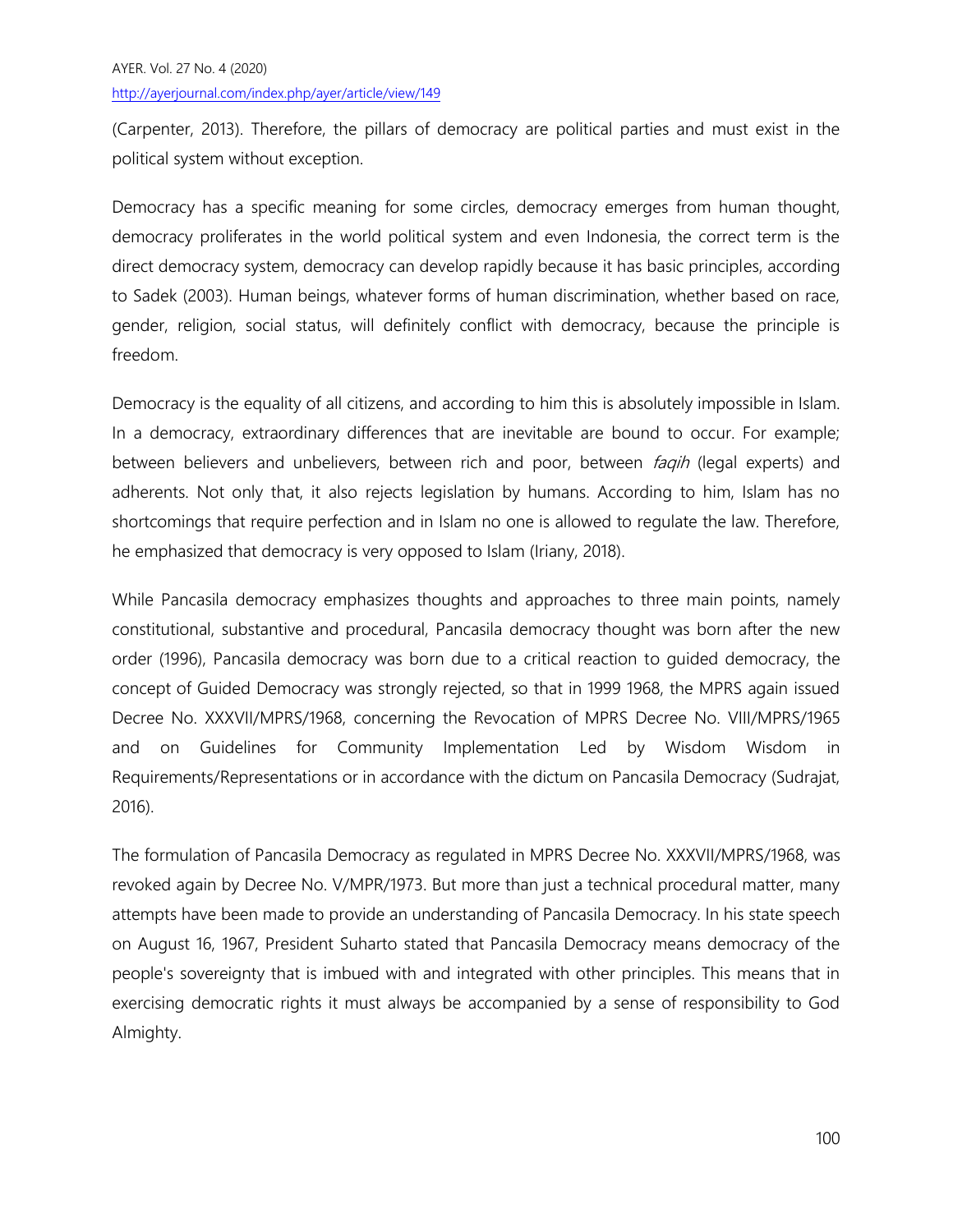(Carpenter, 2013). Therefore, the pillars of democracy are political parties and must exist in the political system without exception.

Democracy has a specific meaning for some circles, democracy emerges from human thought, democracy proliferates in the world political system and even Indonesia, the correct term is the direct democracy system, democracy can develop rapidly because it has basic principles, according to Sadek (2003). Human beings, whatever forms of human discrimination, whether based on race, gender, religion, social status, will definitely conflict with democracy, because the principle is freedom.

Democracy is the equality of all citizens, and according to him this is absolutely impossible in Islam. In a democracy, extraordinary differences that are inevitable are bound to occur. For example; between believers and unbelievers, between rich and poor, between *faqih* (legal experts) and adherents. Not only that, it also rejects legislation by humans. According to him, Islam has no shortcomings that require perfection and in Islam no one is allowed to regulate the law. Therefore, he emphasized that democracy is very opposed to Islam (Iriany, 2018).

While Pancasila democracy emphasizes thoughts and approaches to three main points, namely constitutional, substantive and procedural, Pancasila democracy thought was born after the new order (1996), Pancasila democracy was born due to a critical reaction to guided democracy, the concept of Guided Democracy was strongly rejected, so that in 1999 1968, the MPRS again issued Decree No. XXXVII/MPRS/1968, concerning the Revocation of MPRS Decree No. VIII/MPRS/1965 and on Guidelines for Community Implementation Led by Wisdom Wisdom in Requirements/Representations or in accordance with the dictum on Pancasila Democracy (Sudrajat, 2016).

The formulation of Pancasila Democracy as regulated in MPRS Decree No. XXXVII/MPRS/1968, was revoked again by Decree No. V/MPR/1973. But more than just a technical procedural matter, many attempts have been made to provide an understanding of Pancasila Democracy. In his state speech on August 16, 1967, President Suharto stated that Pancasila Democracy means democracy of the people's sovereignty that is imbued with and integrated with other principles. This means that in exercising democratic rights it must always be accompanied by a sense of responsibility to God Almighty.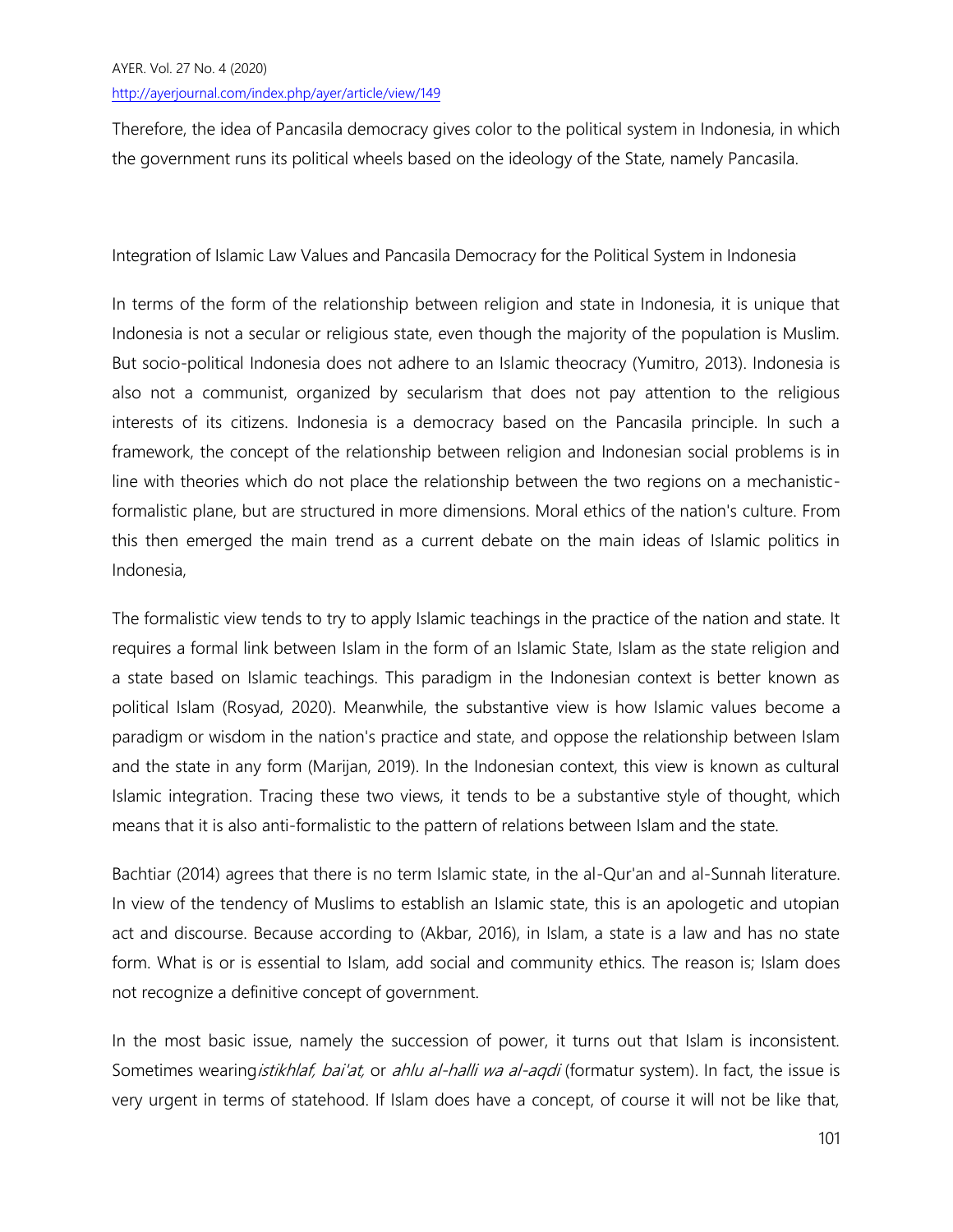Therefore, the idea of Pancasila democracy gives color to the political system in Indonesia, in which the government runs its political wheels based on the ideology of the State, namely Pancasila.

Integration of Islamic Law Values and Pancasila Democracy for the Political System in Indonesia

In terms of the form of the relationship between religion and state in Indonesia, it is unique that Indonesia is not a secular or religious state, even though the majority of the population is Muslim. But socio-political Indonesia does not adhere to an Islamic theocracy (Yumitro, 2013). Indonesia is also not a communist, organized by secularism that does not pay attention to the religious interests of its citizens. Indonesia is a democracy based on the Pancasila principle. In such a framework, the concept of the relationship between religion and Indonesian social problems is in line with theories which do not place the relationship between the two regions on a mechanisticformalistic plane, but are structured in more dimensions. Moral ethics of the nation's culture. From this then emerged the main trend as a current debate on the main ideas of Islamic politics in Indonesia,

The formalistic view tends to try to apply Islamic teachings in the practice of the nation and state. It requires a formal link between Islam in the form of an Islamic State, Islam as the state religion and a state based on Islamic teachings. This paradigm in the Indonesian context is better known as political Islam (Rosyad, 2020). Meanwhile, the substantive view is how Islamic values become a paradigm or wisdom in the nation's practice and state, and oppose the relationship between Islam and the state in any form (Marijan, 2019). In the Indonesian context, this view is known as cultural Islamic integration. Tracing these two views, it tends to be a substantive style of thought, which means that it is also anti-formalistic to the pattern of relations between Islam and the state.

Bachtiar (2014) agrees that there is no term Islamic state, in the al-Qur'an and al-Sunnah literature. In view of the tendency of Muslims to establish an Islamic state, this is an apologetic and utopian act and discourse. Because according to (Akbar, 2016), in Islam, a state is a law and has no state form. What is or is essential to Islam, add social and community ethics. The reason is; Islam does not recognize a definitive concept of government.

In the most basic issue, namely the succession of power, it turns out that Islam is inconsistent. Sometimes wearing *istikhlaf, bai'at, or ahlu al-halli wa al-aqdi* (formatur system). In fact, the issue is very urgent in terms of statehood. If Islam does have a concept, of course it will not be like that,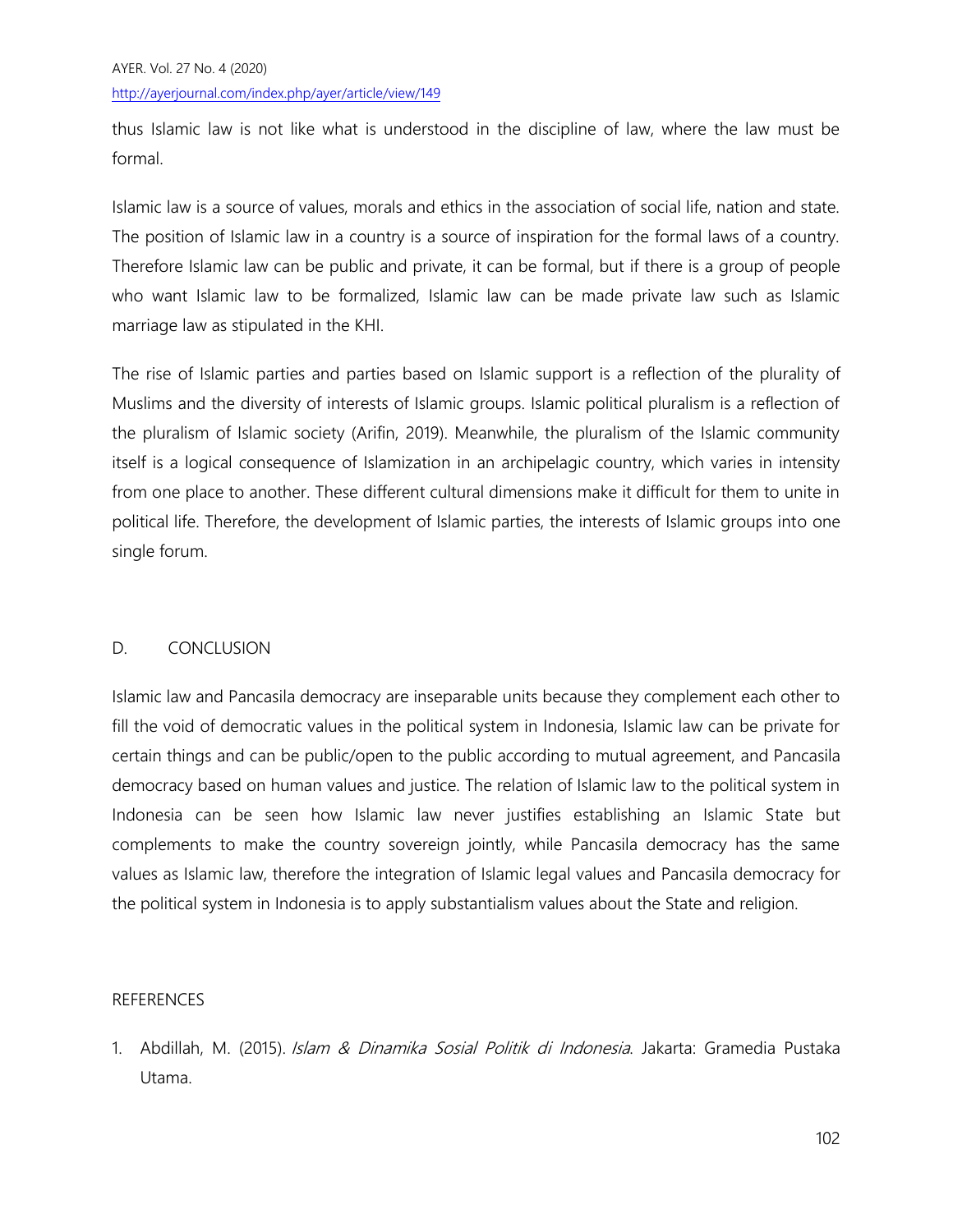thus Islamic law is not like what is understood in the discipline of law, where the law must be formal.

Islamic law is a source of values, morals and ethics in the association of social life, nation and state. The position of Islamic law in a country is a source of inspiration for the formal laws of a country. Therefore Islamic law can be public and private, it can be formal, but if there is a group of people who want Islamic law to be formalized, Islamic law can be made private law such as Islamic marriage law as stipulated in the KHI.

The rise of Islamic parties and parties based on Islamic support is a reflection of the plurality of Muslims and the diversity of interests of Islamic groups. Islamic political pluralism is a reflection of the pluralism of Islamic society (Arifin, 2019). Meanwhile, the pluralism of the Islamic community itself is a logical consequence of Islamization in an archipelagic country, which varies in intensity from one place to another. These different cultural dimensions make it difficult for them to unite in political life. Therefore, the development of Islamic parties, the interests of Islamic groups into one single forum.

# D. CONCLUSION

Islamic law and Pancasila democracy are inseparable units because they complement each other to fill the void of democratic values in the political system in Indonesia, Islamic law can be private for certain things and can be public/open to the public according to mutual agreement, and Pancasila democracy based on human values and justice. The relation of Islamic law to the political system in Indonesia can be seen how Islamic law never justifies establishing an Islamic State but complements to make the country sovereign jointly, while Pancasila democracy has the same values as Islamic law, therefore the integration of Islamic legal values and Pancasila democracy for the political system in Indonesia is to apply substantialism values about the State and religion.

## REFERENCES

1. Abdillah, M. (2015). *Islam & Dinamika Sosial Politik di Indonesia*. Jakarta: Gramedia Pustaka Utama.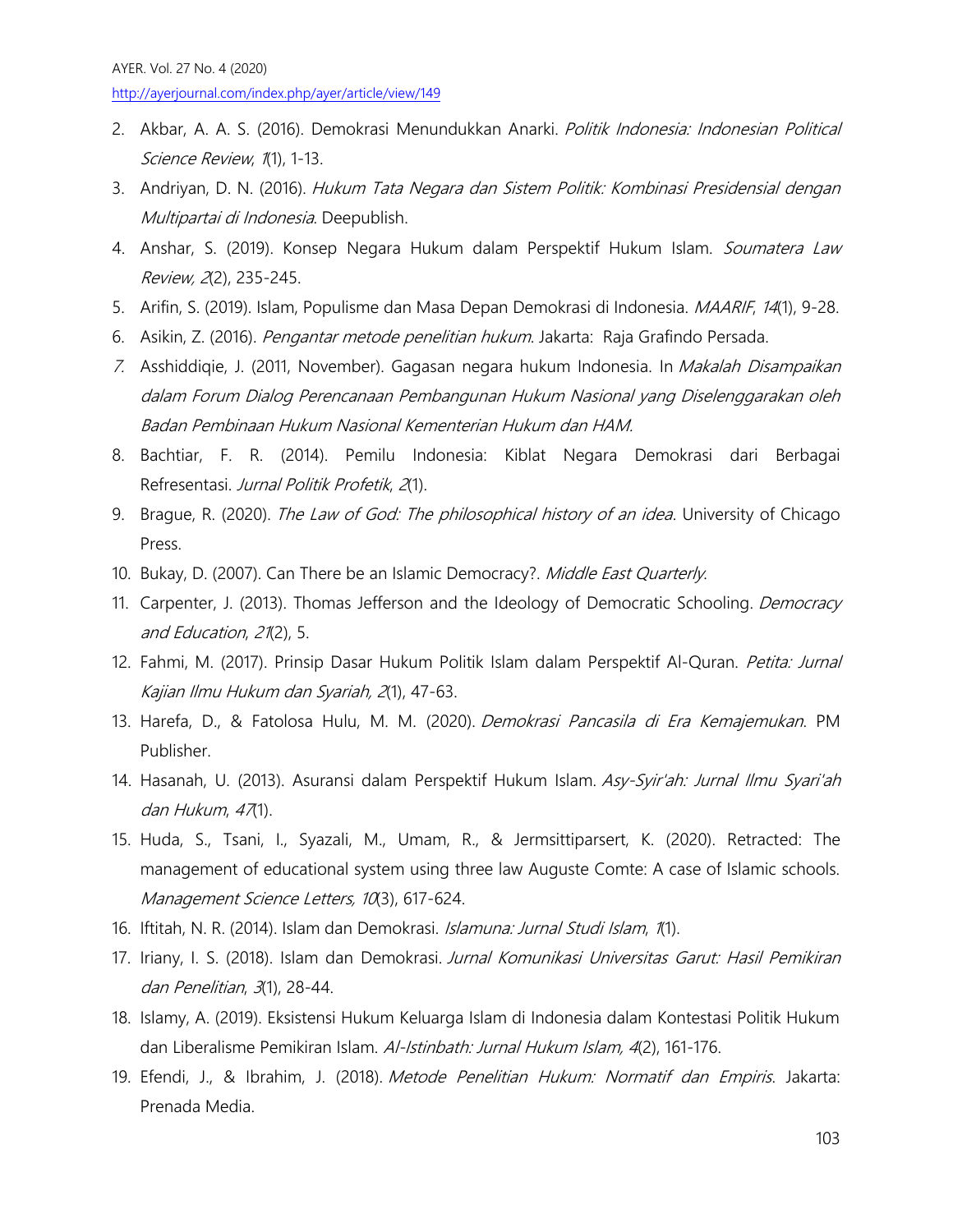- 2. Akbar, A. A. S. (2016). Demokrasi Menundukkan Anarki. Politik Indonesia: Indonesian Political Science Review, 1(1), 1-13.
- 3. Andriyan, D. N. (2016). Hukum Tata Negara dan Sistem Politik: Kombinasi Presidensial dengan Multipartai di Indonesia. Deepublish.
- 4. Anshar, S. (2019). Konsep Negara Hukum dalam Perspektif Hukum Islam. Soumatera Law Review, 2(2), 235-245.
- 5. Arifin, S. (2019). Islam, Populisme dan Masa Depan Demokrasi di Indonesia. MAARIF, 14(1), 9-28.
- 6. Asikin, Z. (2016). Pengantar metode penelitian hukum. Jakarta: Raja Grafindo Persada.
- 7. Asshiddiqie, J. (2011, November). Gagasan negara hukum Indonesia. In Makalah Disampaikan dalam Forum Dialog Perencanaan Pembangunan Hukum Nasional yang Diselenggarakan oleh Badan Pembinaan Hukum Nasional Kementerian Hukum dan HAM.
- 8. Bachtiar, F. R. (2014). Pemilu Indonesia: Kiblat Negara Demokrasi dari Berbagai Refresentasi. Jurnal Politik Profetik, 2(1).
- 9. Brague, R. (2020). The Law of God: The philosophical history of an idea. University of Chicago Press.
- 10. Bukay, D. (2007). Can There be an Islamic Democracy?. Middle East Quarterly.
- 11. Carpenter, J. (2013). Thomas Jefferson and the Ideology of Democratic Schooling. Democracy and Education, 21(2), 5.
- 12. Fahmi, M. (2017). Prinsip Dasar Hukum Politik Islam dalam Perspektif Al-Quran. Petita: Jurnal Kajian Ilmu Hukum dan Syariah, 2(1), 47-63.
- 13. Harefa, D., & Fatolosa Hulu, M. M. (2020). Demokrasi Pancasila di Era Kemajemukan. PM Publisher.
- 14. Hasanah, U. (2013). Asuransi dalam Perspektif Hukum Islam. Asy-Syir'ah: Jurnal Ilmu Syari'ah dan Hukum, <sup>47</sup>(1).
- 15. Huda, S., Tsani, I., Syazali, M., Umam, R., & Jermsittiparsert, K. (2020). Retracted: The management of educational system using three law Auguste Comte: A case of Islamic schools. Management Science Letters, 10(3), 617-624.
- 16. Iftitah, N. R. (2014). Islam dan Demokrasi. Islamuna: Jurnal Studi Islam, 1(1).
- 17. Iriany, I. S. (2018). Islam dan Demokrasi. Jurnal Komunikasi Universitas Garut: Hasil Pemikiran dan Penelitian, 3(1), 28-44.
- 18. Islamy, A. (2019). Eksistensi Hukum Keluarga Islam di Indonesia dalam Kontestasi Politik Hukum dan Liberalisme Pemikiran Islam. Al-Istinbath: Jurnal Hukum Islam, 4(2), 161-176.
- 19. Efendi, J., & Ibrahim, J. (2018). Metode Penelitian Hukum: Normatif dan Empiris. Jakarta: Prenada Media.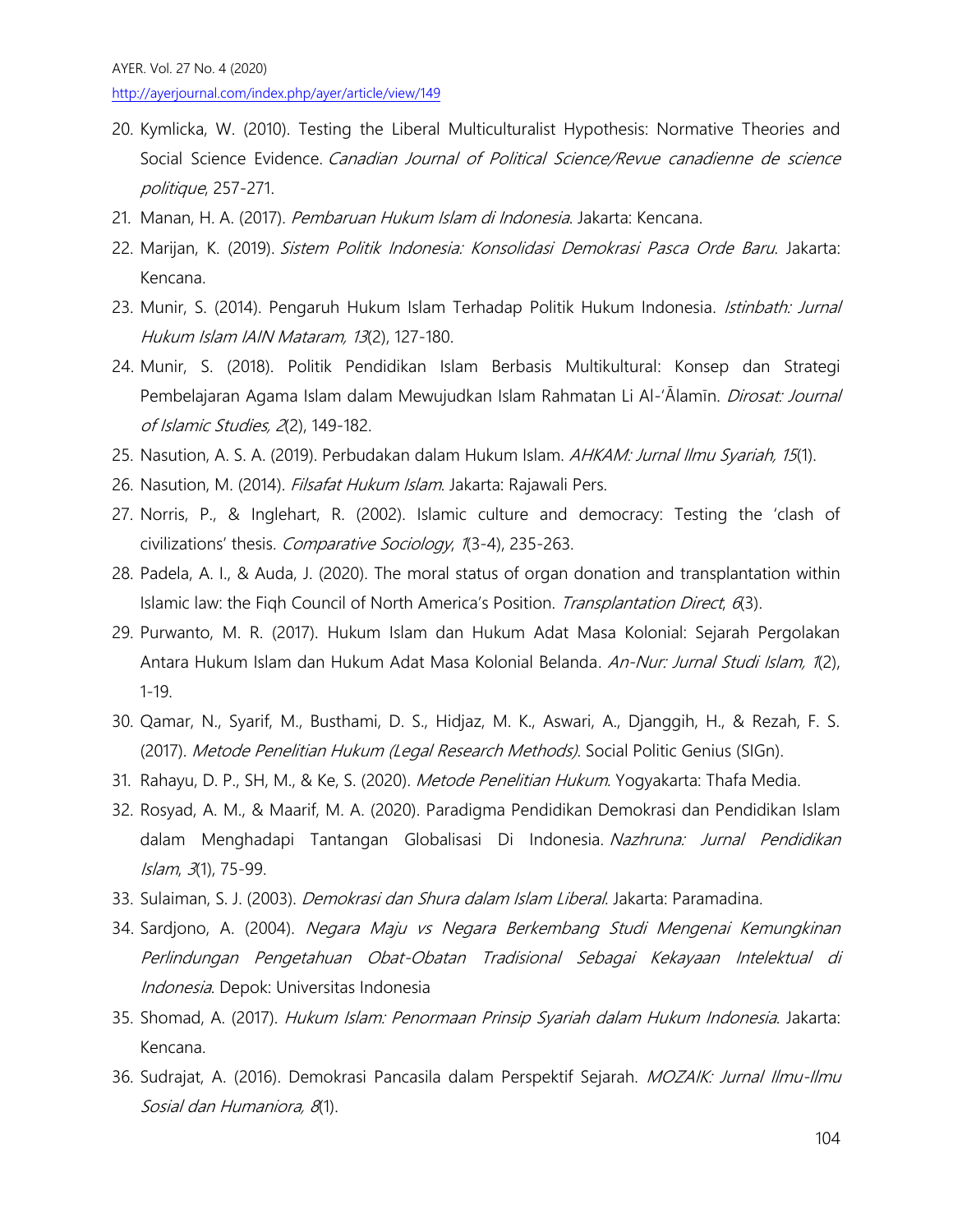- 20. Kymlicka, W. (2010). Testing the Liberal Multiculturalist Hypothesis: Normative Theories and Social Science Evidence. Canadian Journal of Political Science/Revue canadienne de science politique, 257-271.
- 21. Manan, H. A. (2017). Pembaruan Hukum Islam di Indonesia. Jakarta: Kencana.
- 22. Marijan, K. (2019). Sistem Politik Indonesia: Konsolidasi Demokrasi Pasca Orde Baru. Jakarta: Kencana.
- 23. Munir, S. (2014). Pengaruh Hukum Islam Terhadap Politik Hukum Indonesia. Istinbath: Jurnal Hukum Islam IAIN Mataram, 13(2), 127-180.
- 24. Munir, S. (2018). Politik Pendidikan Islam Berbasis Multikultural: Konsep dan Strategi Pembelajaran Agama Islam dalam Mewujudkan Islam Rahmatan Li Al-'Ālamīn. *Dirosat: Journal* of Islamic Studies, 2(2), 149-182.
- 25. Nasution, A. S. A. (2019). Perbudakan dalam Hukum Islam. AHKAM: Jurnal Ilmu Syariah, 15(1).
- 26. Nasution, M. (2014). Filsafat Hukum Islam. Jakarta: Rajawali Pers.
- 27. Norris, P., & Inglehart, R. (2002). Islamic culture and democracy: Testing the 'clash of civilizations' thesis. Comparative Sociology, 1(3-4), 235-263.
- 28. Padela, A. I., & Auda, J. (2020). The moral status of organ donation and transplantation within Islamic law: the Fiqh Council of North America's Position. Transplantation Direct, 6(3).
- 29. Purwanto, M. R. (2017). Hukum Islam dan Hukum Adat Masa Kolonial: Sejarah Pergolakan Antara Hukum Islam dan Hukum Adat Masa Kolonial Belanda. An-Nur: Jurnal Studi Islam, 1(2), 1-19.
- 30. Qamar, N., Syarif, M., Busthami, D. S., Hidjaz, M. K., Aswari, A., Djanggih, H., & Rezah, F. S. (2017). Metode Penelitian Hukum (Legal Research Methods). Social Politic Genius (SIGn).
- 31. Rahayu, D. P., SH, M., & Ke, S. (2020). Metode Penelitian Hukum. Yogyakarta: Thafa Media.
- 32. Rosyad, A. M., & Maarif, M. A. (2020). Paradigma Pendidikan Demokrasi dan Pendidikan Islam dalam Menghadapi Tantangan Globalisasi Di Indonesia. Nazhruna: Jurnal Pendidikan Islam, 3(1), 75-99.
- 33. Sulaiman, S. J. (2003). Demokrasi dan Shura dalam Islam Liberal. Jakarta: Paramadina.
- 34. Sardjono, A. (2004). Negara Maju vs Negara Berkembang Studi Mengenai Kemungkinan Perlindungan Pengetahuan Obat-Obatan Tradisional Sebagai Kekayaan Intelektual di Indonesia. Depok: Universitas Indonesia
- 35. Shomad, A. (2017). Hukum Islam: Penormaan Prinsip Syariah dalam Hukum Indonesia. Jakarta: Kencana.
- 36. Sudrajat, A. (2016). Demokrasi Pancasila dalam Perspektif Sejarah. MOZAIK: Jurnal Ilmu-Ilmu Sosial dan Humaniora, 8(1).